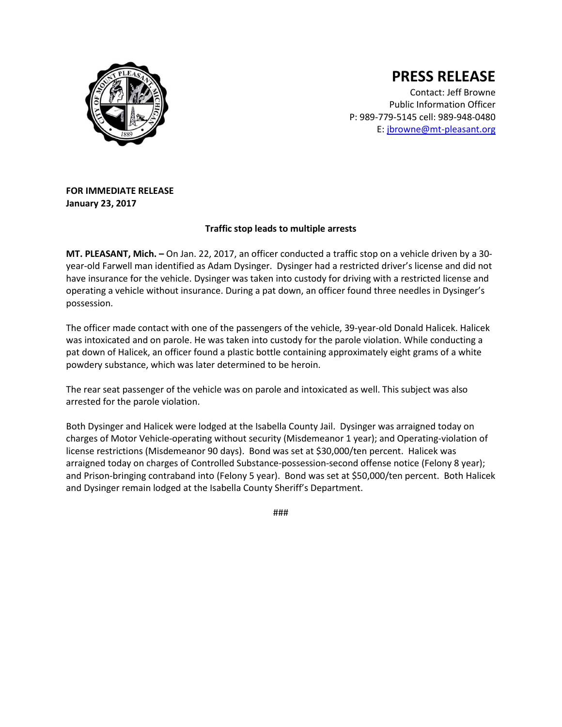

## **PRESS RELEASE**

Contact: Jeff Browne Public Information Officer P: 989-779-5145 cell: 989-948-0480 E: [jbrowne@mt-pleasant.org](mailto:jbrowne@mt-pleasant.org)

## **FOR IMMEDIATE RELEASE January 23, 2017**

## **Traffic stop leads to multiple arrests**

**MT. PLEASANT, Mich. –** On Jan. 22, 2017, an officer conducted a traffic stop on a vehicle driven by a 30 year-old Farwell man identified as Adam Dysinger. Dysinger had a restricted driver's license and did not have insurance for the vehicle. Dysinger was taken into custody for driving with a restricted license and operating a vehicle without insurance. During a pat down, an officer found three needles in Dysinger's possession.

The officer made contact with one of the passengers of the vehicle, 39-year-old Donald Halicek. Halicek was intoxicated and on parole. He was taken into custody for the parole violation. While conducting a pat down of Halicek, an officer found a plastic bottle containing approximately eight grams of a white powdery substance, which was later determined to be heroin.

The rear seat passenger of the vehicle was on parole and intoxicated as well. This subject was also arrested for the parole violation.

Both Dysinger and Halicek were lodged at the Isabella County Jail. Dysinger was arraigned today on charges of Motor Vehicle-operating without security (Misdemeanor 1 year); and Operating-violation of license restrictions (Misdemeanor 90 days). Bond was set at \$30,000/ten percent. Halicek was arraigned today on charges of Controlled Substance-possession-second offense notice (Felony 8 year); and Prison-bringing contraband into (Felony 5 year). Bond was set at \$50,000/ten percent. Both Halicek and Dysinger remain lodged at the Isabella County Sheriff's Department.

###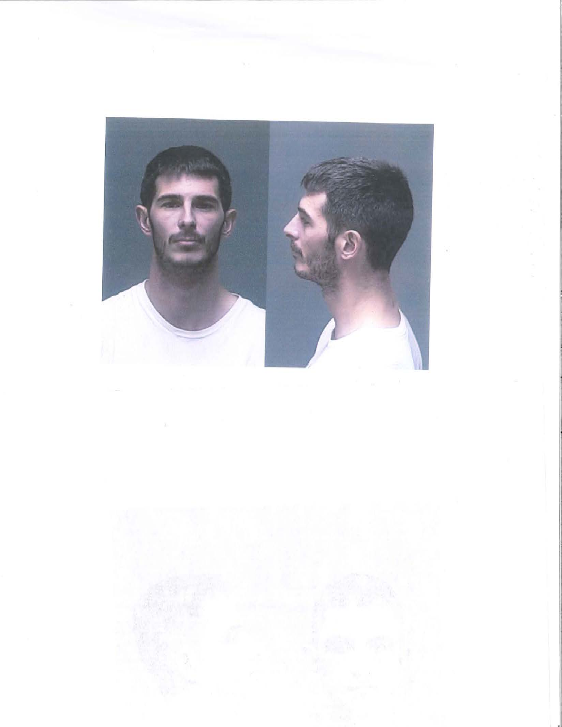